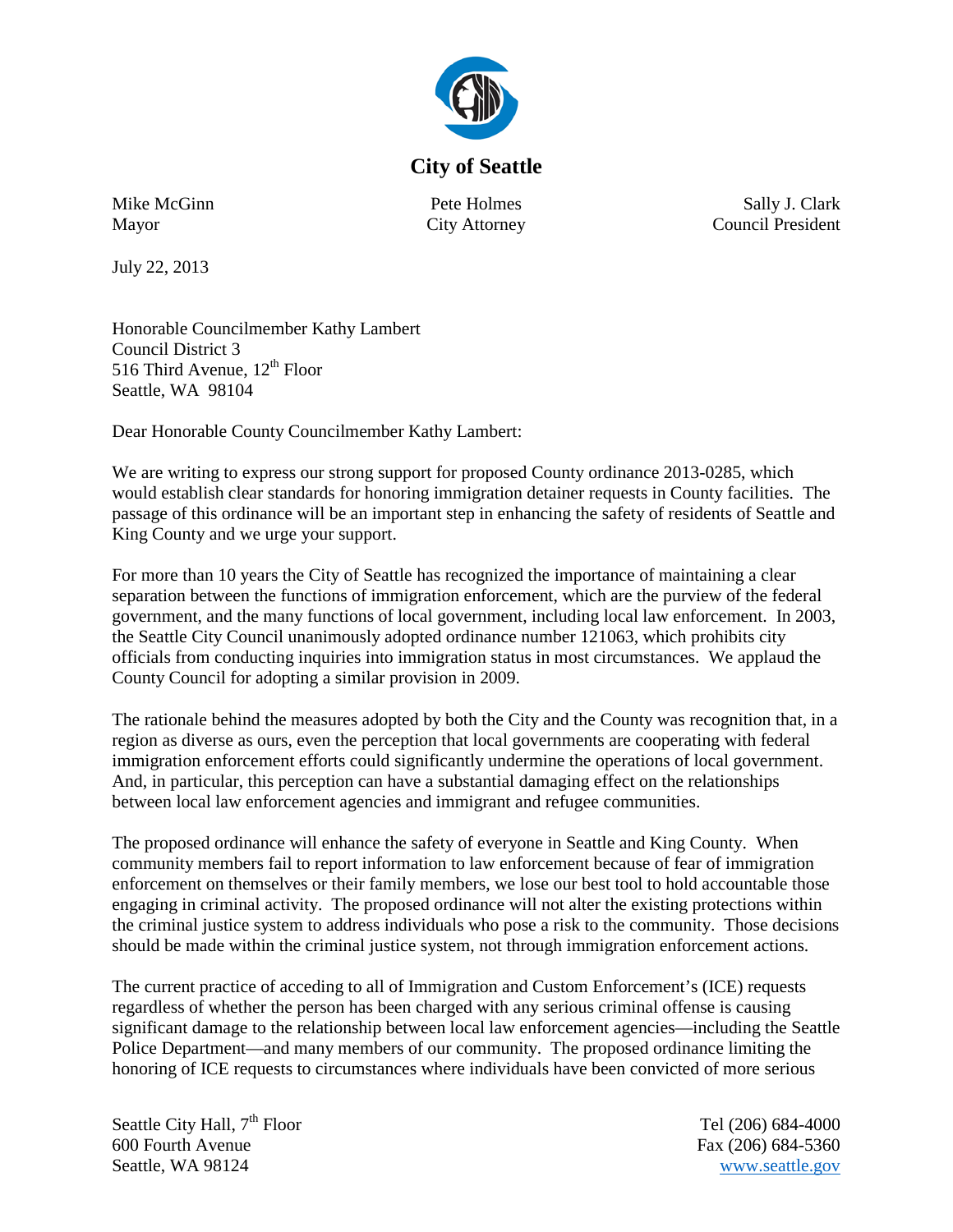

## **City of Seattle**

Mike McGinn Mayor

Pete Holmes City Attorney

Sally J. Clark Council President

July 22, 2013

Honorable Councilmember Kathy Lambert Council District 3 516 Third Avenue, 12<sup>th</sup> Floor Seattle, WA 98104

Dear Honorable County Councilmember Kathy Lambert:

We are writing to express our strong support for proposed County ordinance 2013-0285, which would establish clear standards for honoring immigration detainer requests in County facilities. The passage of this ordinance will be an important step in enhancing the safety of residents of Seattle and King County and we urge your support.

For more than 10 years the City of Seattle has recognized the importance of maintaining a clear separation between the functions of immigration enforcement, which are the purview of the federal government, and the many functions of local government, including local law enforcement. In 2003, the Seattle City Council unanimously adopted ordinance number 121063, which prohibits city officials from conducting inquiries into immigration status in most circumstances. We applaud the County Council for adopting a similar provision in 2009.

The rationale behind the measures adopted by both the City and the County was recognition that, in a region as diverse as ours, even the perception that local governments are cooperating with federal immigration enforcement efforts could significantly undermine the operations of local government. And, in particular, this perception can have a substantial damaging effect on the relationships between local law enforcement agencies and immigrant and refugee communities.

The proposed ordinance will enhance the safety of everyone in Seattle and King County. When community members fail to report information to law enforcement because of fear of immigration enforcement on themselves or their family members, we lose our best tool to hold accountable those engaging in criminal activity. The proposed ordinance will not alter the existing protections within the criminal justice system to address individuals who pose a risk to the community. Those decisions should be made within the criminal justice system, not through immigration enforcement actions.

The current practice of acceding to all of Immigration and Custom Enforcement's (ICE) requests regardless of whether the person has been charged with any serious criminal offense is causing significant damage to the relationship between local law enforcement agencies—including the Seattle Police Department—and many members of our community. The proposed ordinance limiting the honoring of ICE requests to circumstances where individuals have been convicted of more serious

Seattle City Hall,  $7<sup>th</sup>$  Floor Tel (206) 684-4000 600 Fourth Avenue Fax (206) 684-5360 Seattle, WA 98124 [www.seattle.gov](http://www.seattle.gov/)